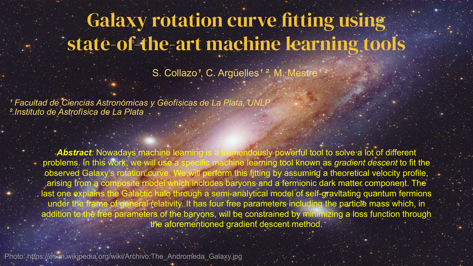# Galaxy rotation curve fitting using state-of-the-art machine learning tools

S. Collazo<sup>1</sup>, C. Argüelles<sup>1</sup><sup>2</sup>, M. Mestre

<sup>1</sup> Facultad de Ciencias Astronómicas y Geofísicas de La Plata, UNL,  *².Instituto de Astrofísica de La Plata*

> **Abstract**: Nowadays machine learning is a tremendously powerful tool to solve a lot of different problems. In this work, we will use a specific machine learning tool known as *gradient descent* to fit the observed Galaxy's rotation curve. We will perform this fitting by assuming a theoretical velocity profile, arising from a composite model which includes baryons and a fermionic dark matter component. The last one explains the Galactic halo through a semi-analytical model of self-gravitating quantum fermions under the frame of general relativity. It has four free parameters including the particle mass which, in addition to the free parameters of the baryons, will be constrained by minimizing a loss function through the aforementioned gradient descent method.

Photo: https://es.m.wikipedia.org/wiki/Archivo:The\_Andromeda\_Galaxy.jpg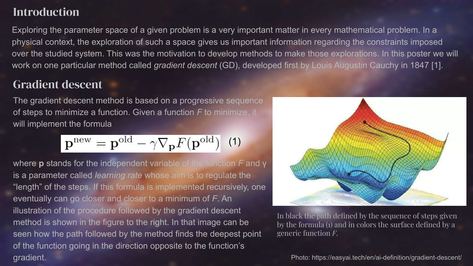# **Introduction**

Exploring the parameter space of a given problem is a very important matter in every mathematical problem. In a physical context, the exploration of such a space gives us important information regarding the constraints imposed over the studied system. This was the motivation to develop methods to make those explorations. In this poster we will work on one particular method called *gradient descent* (GD), developed first by Louis Augustin Cauchy in 1847 [1].

#### Gradient descent

The gradient descent method is based on a progressive sequence of steps to minimize a function. Given a function *F* to minimize, it will implement the formula

$$
\mathbf{p}^{\text{new}} = \mathbf{p}^{\text{old}} - \gamma \nabla_{\mathbf{p}} F(\mathbf{p}^{\text{old}})
$$
 (1)

where **p** stands for the independent variable of the function *F* and γ is a parameter called *learning rate* whose aim is to regulate the "length" of the steps. If this formula is implemented recursively, one eventually can go closer and closer to a minimum of *F*. An illustration of the procedure followed by the gradient descent method is shown in the figure to the right. In that image can be seen how the path followed by the method finds the deepest point of the function going in the direction opposite to the function's gradient. The example of the example of the example of the example of the example of the example of the example of the example of the example of the example of the example of the example of the example of the example of th



In black the path defined by the sequence of steps given by the formula  $(i)$  and in colors the surface defined by a generic function *F*.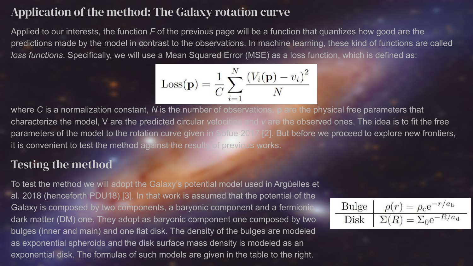#### Application of the method: The Galaxy rotation curve

Applied to our interests, the function *F* of the previous page will be a function that quantizes how good are the predictions made by the model in contrast to the observations. In machine learning, these kind of functions are called *loss functions*. Specifically, we will use a Mean Squared Error (MSE) as a loss function, which is defined as:

$$
Loss(\mathbf{p}) = \frac{1}{C} \sum_{i=1}^{N} \frac{(V_i(\mathbf{p}) - v_i)^2}{N}
$$

where *C* is a normalization constant, *N* is the number of observations, **p** are the physical free parameters that characterize the model, V are the predicted circular velocities and *v* are the observed ones. The idea is to fit the free parameters of the model to the rotation curve given in Sofue 2017 [2]. But before we proceed to explore new frontiers, it is convenient to test the method against the results of previous works.

#### Testing the method

To test the method we will adopt the Galaxy's potential model used in Argüelles et al. 2018 (henceforth PDU18) [3]. In that work is assumed that the potential of the Galaxy is composed by two components, a baryonic component and a fermionic dark matter (DM) one. They adopt as baryonic component one composed by two bulges (inner and main) and one flat disk. The density of the bulges are modeled as exponential spheroids and the disk surface mass density is modeled as an exponential disk. The formulas of such models are given in the table to the right.

$$
\boxed{\frac{\text{Bulge}}{\text{Disk}} \mid \rho(r) = \rho_{\text{c}} \text{e}^{-r/a_{\text{b}}}}
$$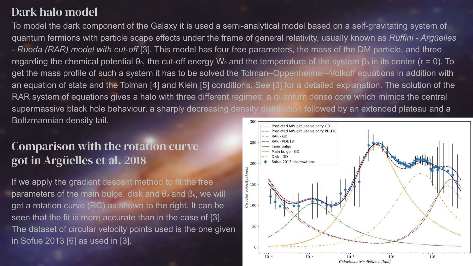# Dark halo model

To model the dark component of the Galaxy it is used a semi-analytical model based on a self-gravitating system of quantum fermions with particle scape effects under the frame of general relativity, usually known as *Ruffini - Argüelles - Rueda (RAR) model with cut-off* [3]. This model has four free parameters, the mass of the DM particle, and three regarding the chemical potential θ., the cut-off energy W. and the temperature of the system β, in its center (r = 0). To get the mass profile of such a system it has to be solved the Tolman–Oppenheimer–Volkoff equations in addition with an equation of state and the Tolman [4] and Klein [5] conditions. See [3] for a detailed explanation. The solution of the RAR system of equations gives a halo with three different regimes: a quantum dense core which mimics the central supermassive black hole behaviour, a sharply decreasing density distribution followed by an extended plateau and a Boltzmannian density tail.

## Comparison with the rotation curve got in Argüelles et al. 2018

If we apply the gradient descent method to fit the free parameters of the main bulge, disk and  $θ$  and  $β$  , we will get a rotation curve (RC) as shown to the right. It can be seen that the fit is more accurate than in the case of [3]. The dataset of circular velocity points used is the one given in Sofue 2013 [6] as used in [3].

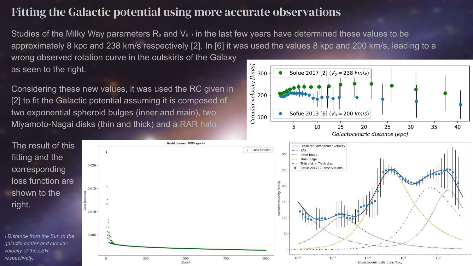## Fitting the Galactic potential using more accurate observations

Model trained 1000 epochs

Studies of the Milky Way parameters R<sub>o</sub> and V<sub>o</sub>, in the last few years have determined these values to be approximately 8 kpc and 238 km/s respectively [2]. In [6] it was used the values 8 kpc and 200 km/s, leading to a wrong observed rotation curve in the outskirts of the Galaxy

as seen to the right.

Considering these new values, it was used the RC given in [2] to fit the Galactic potential assuming it is composed of two exponential spheroid bulges (inner and main), two Miyamoto-Nagai disks (thin and thick) and a RAR halo.

 $\lambda$ 

The result of this



fitting and the 0.020 corresponding loss function are 0.015 shown to the right. 0.010 ā 100 50 0.005 <sup>₁</sup> *Distance from the Sun to the galactic center and circular velocity of the LSR, respectively.* $10^{-3}$  $10^{-2}$  $10^{1}$ 250 500 750 1000  $10^{-1}$  $10<sup>0</sup>$ Epoch Galactocentric distance [kpc]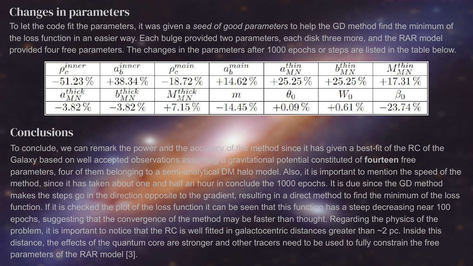# Changes in parameters

To let the code fit the parameters, it was given a *seed of good parameters* to help the GD method find the minimum of the loss function in an easier way. Each bulge provided two parameters, each disk three more, and the RAR model provided four free parameters. The changes in the parameters after 1000 epochs or steps are listed in the table below.

| $n$ nner             | , inner        | , man            | $a_k^{man}$ | $a_{MN}^{thin}$ | $\lambda$ thin<br>$\sigma_{MN}$ | $M_{MN}^{thin}$ |
|----------------------|----------------|------------------|-------------|-----------------|---------------------------------|-----------------|
| $-51.23\,\%$         | $+38.34\%$     | $-18.72\,\%$     | $+14.62\%$  | $+25.25\,\%$    | $+25.25\,\%$                    | $+17.31\,\%$    |
| $a_{MN}^{\rm thick}$ | thick<br>$M_N$ | $M_{MN}^{thick}$ | $\,m$       | $\theta_0$      | $W_0$                           | $\circ_0$       |
| $-3.82\%$            | $-3.82\%$      |                  | $-14.45\%$  | $+0.09\%$       | $\%$<br>$-0.61$                 | $-23.74\,\%$    |

# **Conclusions**

To conclude, we can remark the power and the accuracy of the method since it has given a best-fit of the RC of the Galaxy based on well accepted observations assuming a gravitational potential constituted of **fourteen** free parameters, four of them belonging to a semi-analytical DM halo model. Also, it is important to mention the speed of the method, since it has taken about one and half an hour in conclude the 1000 epochs. It is due since the GD method makes the steps go in the direction opposite to the gradient, resulting in a direct method to find the minimum of the loss function. If it is checked the plot of the loss function it can be seen that this function has a steep decreasing near 100 epochs, suggesting that the convergence of the method may be faster than thought. Regarding the physics of the problem, it is important to notice that the RC is well fitted in galactocentric distances greater than ~2 pc. Inside this distance, the effects of the quantum core are stronger and other tracers need to be used to fully constrain the free parameters of the RAR model [3].